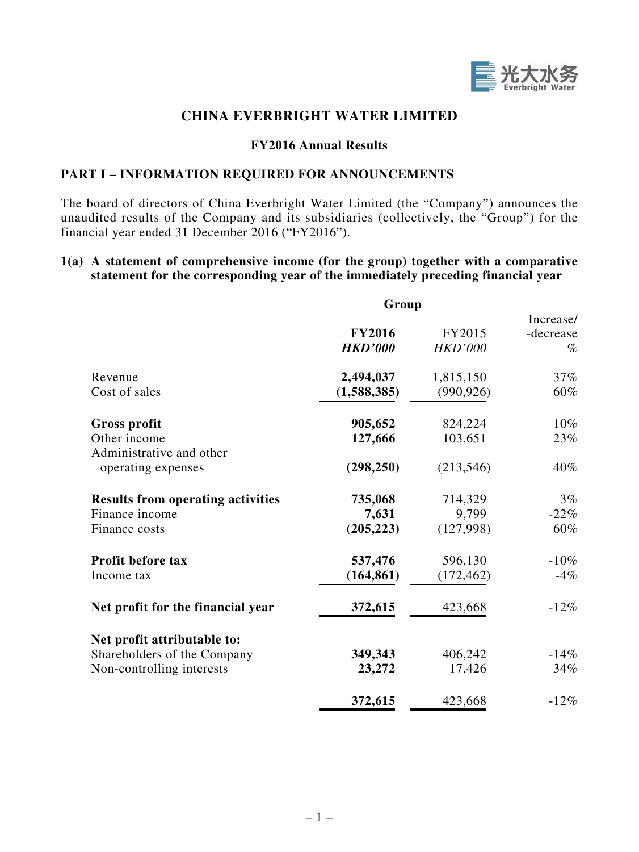

# **CHINA EVERBRIGHT WATER LIMITED**

#### **FY2016 Annual Results**

## **PART I – INFORMATION REQUIRED FOR ANNOUNCEMENTS**

The board of directors of China Everbright Water Limited (the "Company") announces the unaudited results of the Company and its subsidiaries (collectively, the "Group") for the financial year ended 31 December 2016 ("FY2016").

#### **1(a) A statement of comprehensive income (for the group) together with a comparative statement for the corresponding year of the immediately preceding financial year**

|                                                                                         | Group                            |                                  |                                |
|-----------------------------------------------------------------------------------------|----------------------------------|----------------------------------|--------------------------------|
|                                                                                         | <b>FY2016</b><br><b>HKD'000</b>  | FY2015<br><b>HKD'000</b>         | Increase/<br>-decrease<br>$\%$ |
| Revenue<br>Cost of sales                                                                | 2,494,037<br>(1,588,385)         | 1,815,150<br>(990, 926)          | 37%<br>60%                     |
| Gross profit<br>Other income<br>Administrative and other<br>operating expenses          | 905,652<br>127,666<br>(298, 250) | 824,224<br>103,651<br>(213, 546) | 10%<br>23%<br>40%              |
| <b>Results from operating activities</b><br>Finance income<br>Finance costs             | 735,068<br>7,631<br>(205, 223)   | 714,329<br>9,799<br>(127,998)    | $3\%$<br>$-22%$<br>60%         |
| <b>Profit before tax</b><br>Income tax                                                  | 537,476<br>(164, 861)            | 596,130<br>(172, 462)            | $-10\%$<br>$-4%$               |
| Net profit for the financial year                                                       | 372,615                          | 423,668                          | $-12%$                         |
| Net profit attributable to:<br>Shareholders of the Company<br>Non-controlling interests | 349,343<br>23,272                | 406,242<br>17,426                | $-14%$<br>34%                  |
|                                                                                         | 372,615                          | 423,668                          | $-12%$                         |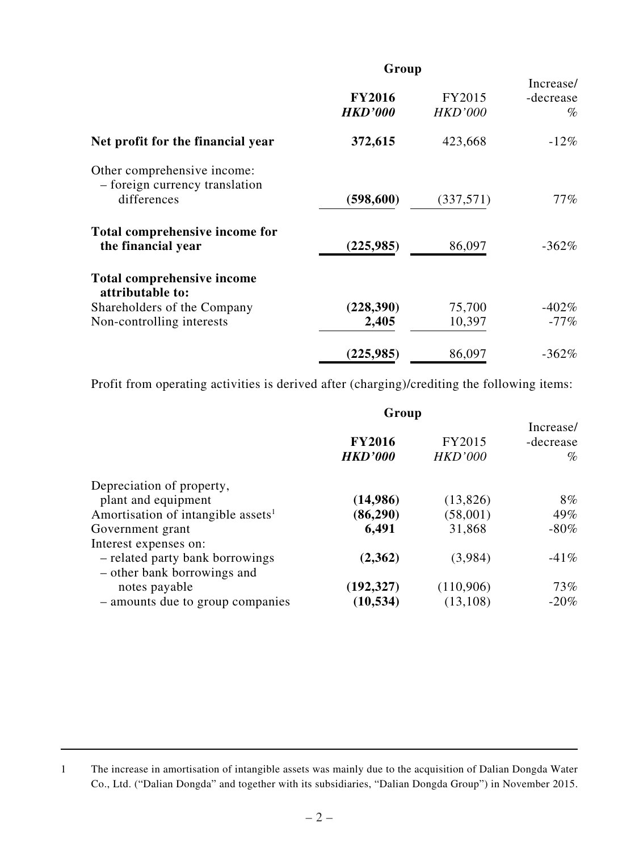|                                                                              | Group                           |                          |                                |
|------------------------------------------------------------------------------|---------------------------------|--------------------------|--------------------------------|
|                                                                              | <b>FY2016</b><br><b>HKD'000</b> | FY2015<br><b>HKD'000</b> | Increase/<br>-decrease<br>$\%$ |
| Net profit for the financial year                                            | 372,615                         | 423,668                  | $-12\%$                        |
| Other comprehensive income:<br>- foreign currency translation<br>differences | (598, 600)                      | (337,571)                | $77\%$                         |
| Total comprehensive income for<br>the financial year                         | (225, 985)                      | 86,097                   | $-362\%$                       |
| Total comprehensive income<br>attributable to:                               |                                 |                          |                                |
| Shareholders of the Company                                                  | (228, 390)                      | 75,700                   | $-402\%$                       |
| Non-controlling interests                                                    | 2,405                           | 10,397                   | $-77%$                         |
|                                                                              | (225,985)                       | 86,097                   | $-362%$                        |

Profit from operating activities is derived after (charging)/crediting the following items:

|                                                                | Group                           |                          |                                |
|----------------------------------------------------------------|---------------------------------|--------------------------|--------------------------------|
|                                                                | <b>FY2016</b><br><b>HKD'000</b> | FY2015<br><b>HKD'000</b> | Increase/<br>-decrease<br>$\%$ |
| Depreciation of property,                                      |                                 |                          |                                |
| plant and equipment                                            | (14,986)                        | (13,826)                 | $8\%$                          |
| Amortisation of intangible assets <sup>1</sup>                 | (86, 290)                       | (58,001)                 | 49%                            |
| Government grant                                               | 6,491                           | 31,868                   | $-80\%$                        |
| Interest expenses on:                                          |                                 |                          |                                |
| - related party bank borrowings<br>- other bank borrowings and | (2,362)                         | (3,984)                  | $-41%$                         |
| notes payable                                                  | (192, 327)                      | (110,906)                | 73%                            |
| - amounts due to group companies                               | (10, 534)                       | (13, 108)                | $-20%$                         |

<sup>1</sup> The increase in amortisation of intangible assets was mainly due to the acquisition of Dalian Dongda Water Co., Ltd. ("Dalian Dongda" and together with its subsidiaries, "Dalian Dongda Group") in November 2015.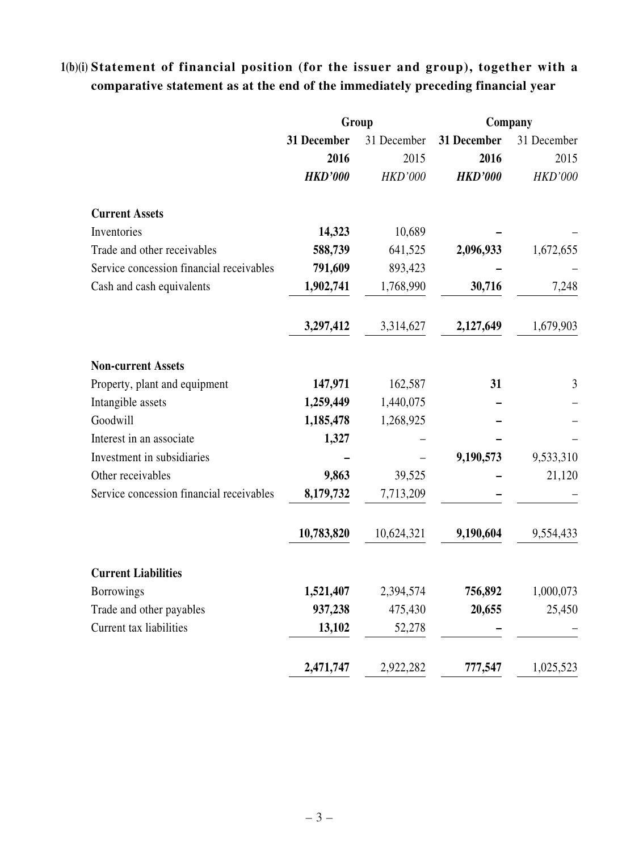# **1(b)(i) Statement of financial position (for the issuer and group), together with a comparative statement as at the end of the immediately preceding financial year**

|                                          | Group          |                | Company        |                |  |
|------------------------------------------|----------------|----------------|----------------|----------------|--|
|                                          | 31 December    | 31 December    | 31 December    | 31 December    |  |
|                                          | 2016           | 2015           | 2016           | 2015           |  |
|                                          | <b>HKD'000</b> | <b>HKD'000</b> | <b>HKD'000</b> | <b>HKD'000</b> |  |
| <b>Current Assets</b>                    |                |                |                |                |  |
| Inventories                              | 14,323         | 10,689         |                |                |  |
| Trade and other receivables              | 588,739        | 641,525        | 2,096,933      | 1,672,655      |  |
| Service concession financial receivables | 791,609        | 893,423        |                |                |  |
| Cash and cash equivalents                | 1,902,741      | 1,768,990      | 30,716         | 7,248          |  |
|                                          | 3,297,412      | 3,314,627      | 2,127,649      | 1,679,903      |  |
| <b>Non-current Assets</b>                |                |                |                |                |  |
| Property, plant and equipment            | 147,971        | 162,587        | 31             | 3              |  |
| Intangible assets                        | 1,259,449      | 1,440,075      |                |                |  |
| Goodwill                                 | 1,185,478      | 1,268,925      |                |                |  |
| Interest in an associate                 | 1,327          |                |                |                |  |
| Investment in subsidiaries               |                |                | 9,190,573      | 9,533,310      |  |
| Other receivables                        | 9,863          | 39,525         |                | 21,120         |  |
| Service concession financial receivables | 8,179,732      | 7,713,209      |                |                |  |
|                                          | 10,783,820     | 10,624,321     | 9,190,604      | 9,554,433      |  |
| <b>Current Liabilities</b>               |                |                |                |                |  |
| <b>Borrowings</b>                        | 1,521,407      | 2,394,574      | 756,892        | 1,000,073      |  |
| Trade and other payables                 | 937,238        | 475,430        | 20,655         | 25,450         |  |
| Current tax liabilities                  | 13,102         | 52,278         |                |                |  |
|                                          | 2,471,747      | 2,922,282      | 777,547        | 1,025,523      |  |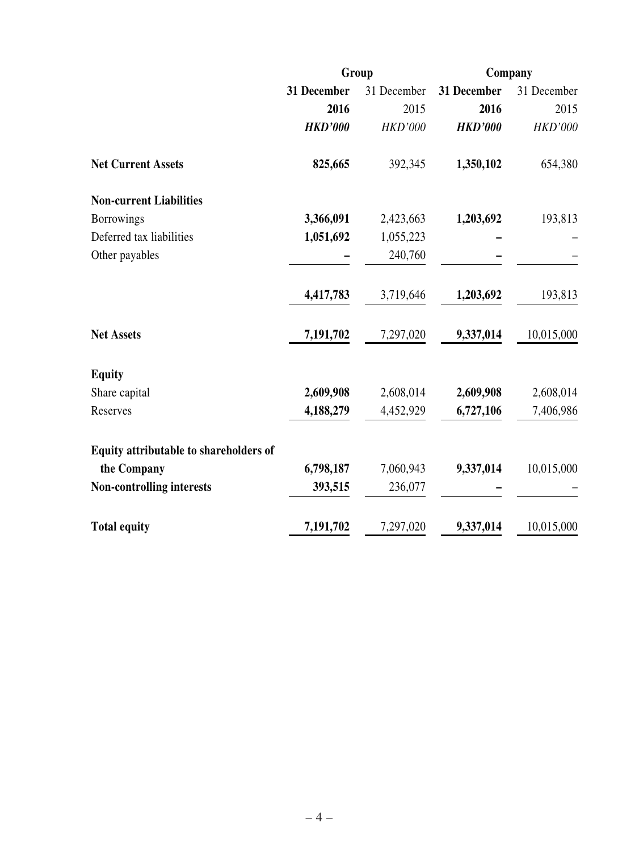|                                        |                | Group          | Company        |                |  |
|----------------------------------------|----------------|----------------|----------------|----------------|--|
|                                        | 31 December    | 31 December    | 31 December    | 31 December    |  |
|                                        | 2016           | 2015           | 2016           | 2015           |  |
|                                        | <b>HKD'000</b> | <b>HKD'000</b> | <b>HKD'000</b> | <b>HKD'000</b> |  |
| <b>Net Current Assets</b>              | 825,665        | 392,345        | 1,350,102      | 654,380        |  |
| <b>Non-current Liabilities</b>         |                |                |                |                |  |
| <b>Borrowings</b>                      | 3,366,091      | 2,423,663      | 1,203,692      | 193,813        |  |
| Deferred tax liabilities               | 1,051,692      | 1,055,223      |                |                |  |
| Other payables                         |                | 240,760        |                |                |  |
|                                        | 4,417,783      | 3,719,646      | 1,203,692      | 193,813        |  |
| <b>Net Assets</b>                      | 7,191,702      | 7,297,020      | 9,337,014      | 10,015,000     |  |
| <b>Equity</b>                          |                |                |                |                |  |
| Share capital                          | 2,609,908      | 2,608,014      | 2,609,908      | 2,608,014      |  |
| Reserves                               | 4,188,279      | 4,452,929      | 6,727,106      | 7,406,986      |  |
| Equity attributable to shareholders of |                |                |                |                |  |
| the Company                            | 6,798,187      | 7,060,943      | 9,337,014      | 10,015,000     |  |
| <b>Non-controlling interests</b>       | 393,515        | 236,077        |                |                |  |
| <b>Total equity</b>                    | 7,191,702      | 7,297,020      | 9,337,014      | 10,015,000     |  |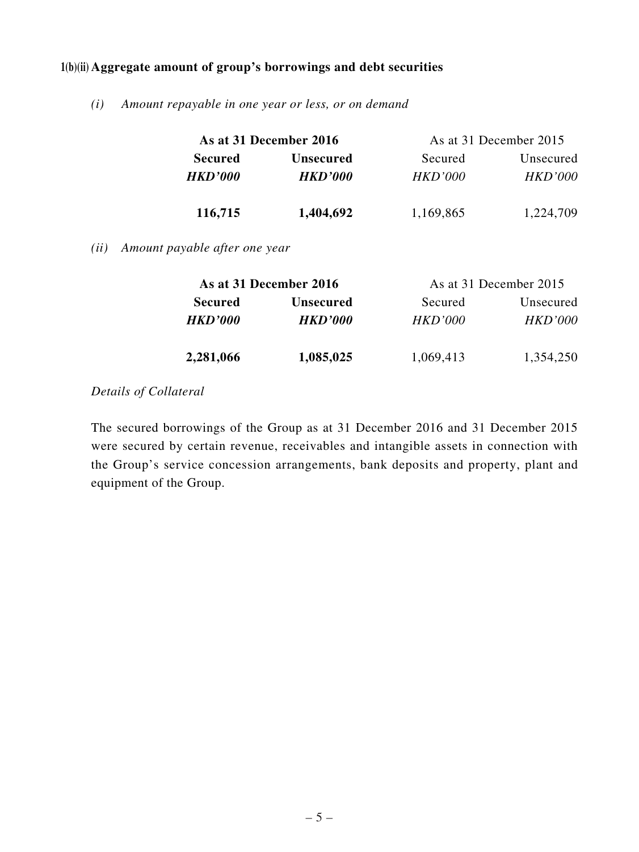### **1(b)(ii) Aggregate amount of group's borrowings and debt securities**

*(i) Amount repayable in one year or less, or on demand*

|      | As at 31 December 2016        |                | As at 31 December 2015 |                |  |
|------|-------------------------------|----------------|------------------------|----------------|--|
|      | <b>Secured</b>                | Unsecured      | Secured                | Unsecured      |  |
|      | <b>HKD'000</b>                | <b>HKD'000</b> | <b>HKD'000</b>         | <b>HKD'000</b> |  |
|      | 116,715                       | 1,404,692      | 1,169,865              | 1,224,709      |  |
| (ii) | Amount payable after one year |                |                        |                |  |

|                | As at 31 December 2016 | As at 31 December 2015 |                |
|----------------|------------------------|------------------------|----------------|
| <b>Secured</b> | <b>Unsecured</b>       | Secured                | Unsecured      |
| <b>HKD'000</b> | <b>HKD'000</b>         | <i>HKD'000</i>         | <i>HKD'000</i> |
| 2,281,066      | 1,085,025              | 1,069,413              | 1,354,250      |

## *Details of Collateral*

The secured borrowings of the Group as at 31 December 2016 and 31 December 2015 were secured by certain revenue, receivables and intangible assets in connection with the Group's service concession arrangements, bank deposits and property, plant and equipment of the Group.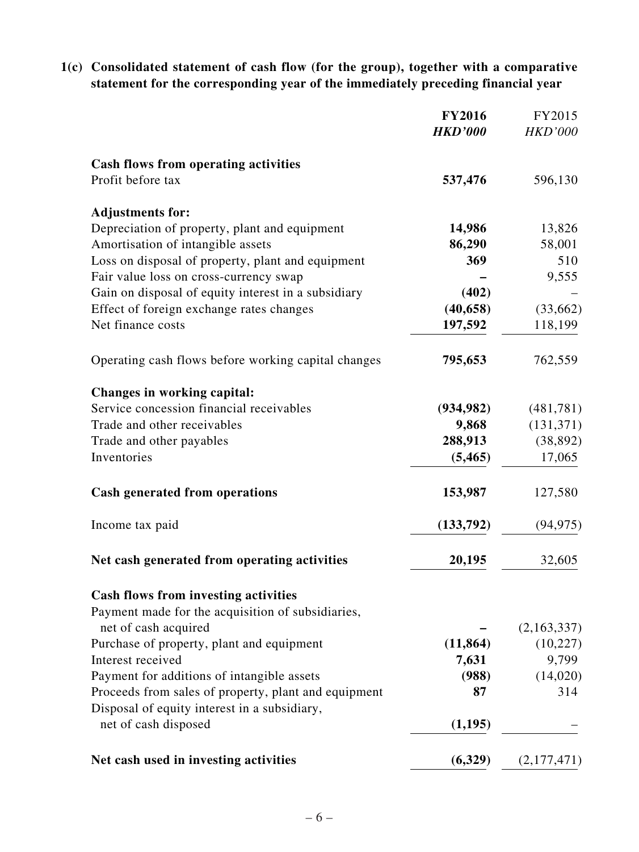**1(c) Consolidated statement of cash flow (for the group), together with a comparative statement for the corresponding year of the immediately preceding financial year**

|                                                      | <b>FY2016</b><br><b>HKD'000</b> | FY2015<br><b>HKD'000</b> |
|------------------------------------------------------|---------------------------------|--------------------------|
| <b>Cash flows from operating activities</b>          |                                 |                          |
| Profit before tax                                    | 537,476                         | 596,130                  |
| <b>Adjustments for:</b>                              |                                 |                          |
| Depreciation of property, plant and equipment        | 14,986                          | 13,826                   |
| Amortisation of intangible assets                    | 86,290                          | 58,001                   |
| Loss on disposal of property, plant and equipment    | 369                             | 510                      |
| Fair value loss on cross-currency swap               |                                 | 9,555                    |
| Gain on disposal of equity interest in a subsidiary  | (402)                           |                          |
| Effect of foreign exchange rates changes             | (40, 658)                       | (33,662)                 |
| Net finance costs                                    | 197,592                         | 118,199                  |
| Operating cash flows before working capital changes  | 795,653                         | 762,559                  |
| Changes in working capital:                          |                                 |                          |
| Service concession financial receivables             | (934, 982)                      | (481, 781)               |
| Trade and other receivables                          | 9,868                           | (131, 371)               |
| Trade and other payables                             | 288,913                         | (38, 892)                |
| Inventories                                          | (5, 465)                        | 17,065                   |
| <b>Cash generated from operations</b>                | 153,987                         | 127,580                  |
| Income tax paid                                      | (133,792)                       | (94, 975)                |
| Net cash generated from operating activities         | 20,195                          | 32,605                   |
| <b>Cash flows from investing activities</b>          |                                 |                          |
| Payment made for the acquisition of subsidiaries,    |                                 |                          |
| net of cash acquired                                 |                                 | (2,163,337)              |
| Purchase of property, plant and equipment            | (11, 864)                       | (10, 227)                |
| Interest received                                    | 7,631                           | 9,799                    |
| Payment for additions of intangible assets           | (988)                           | (14,020)                 |
| Proceeds from sales of property, plant and equipment | 87                              | 314                      |
| Disposal of equity interest in a subsidiary,         |                                 |                          |
| net of cash disposed                                 | (1,195)                         |                          |
| Net cash used in investing activities                | (6,329)                         | (2,177,471)              |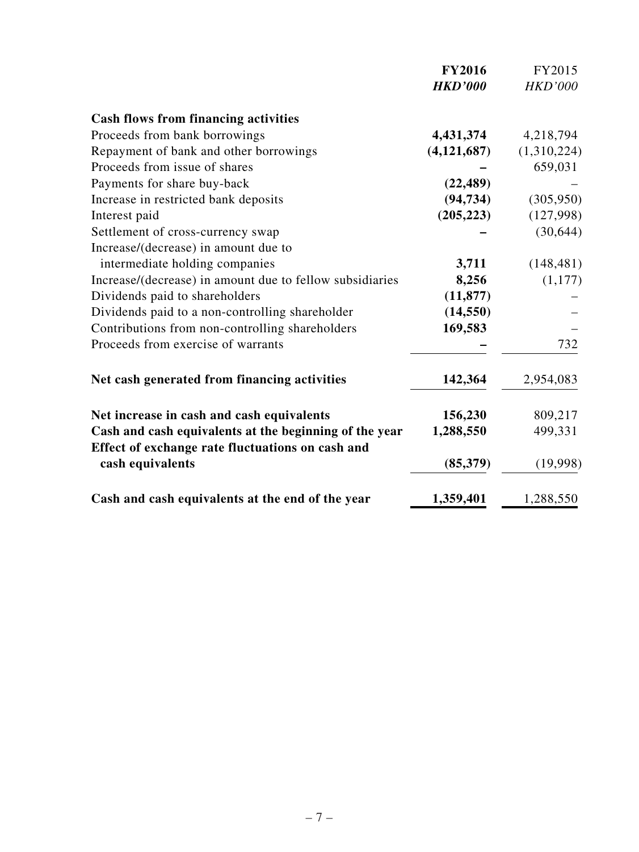|                                                                                                            | <b>FY2016</b><br><b>HKD'000</b> | FY2015<br><b>HKD'000</b> |
|------------------------------------------------------------------------------------------------------------|---------------------------------|--------------------------|
| <b>Cash flows from financing activities</b>                                                                |                                 |                          |
| Proceeds from bank borrowings                                                                              | 4,431,374                       | 4,218,794                |
| Repayment of bank and other borrowings                                                                     | (4, 121, 687)                   | (1,310,224)              |
| Proceeds from issue of shares                                                                              |                                 | 659,031                  |
| Payments for share buy-back                                                                                | (22, 489)                       |                          |
| Increase in restricted bank deposits                                                                       | (94, 734)                       | (305, 950)               |
| Interest paid                                                                                              | (205, 223)                      | (127,998)                |
| Settlement of cross-currency swap                                                                          |                                 | (30, 644)                |
| Increase/(decrease) in amount due to                                                                       |                                 |                          |
| intermediate holding companies                                                                             | 3,711                           | (148, 481)               |
| Increase/(decrease) in amount due to fellow subsidiaries                                                   | 8,256                           | (1,177)                  |
| Dividends paid to shareholders                                                                             | (11, 877)                       |                          |
| Dividends paid to a non-controlling shareholder                                                            | (14, 550)                       |                          |
| Contributions from non-controlling shareholders                                                            | 169,583                         |                          |
| Proceeds from exercise of warrants                                                                         |                                 | 732                      |
| Net cash generated from financing activities                                                               | 142,364                         | 2,954,083                |
| Net increase in cash and cash equivalents                                                                  | 156,230                         | 809,217                  |
| Cash and cash equivalents at the beginning of the year<br>Effect of exchange rate fluctuations on cash and | 1,288,550                       | 499,331                  |
| cash equivalents                                                                                           | (85, 379)                       | (19,998)                 |
| Cash and cash equivalents at the end of the year                                                           | 1,359,401                       | 1,288,550                |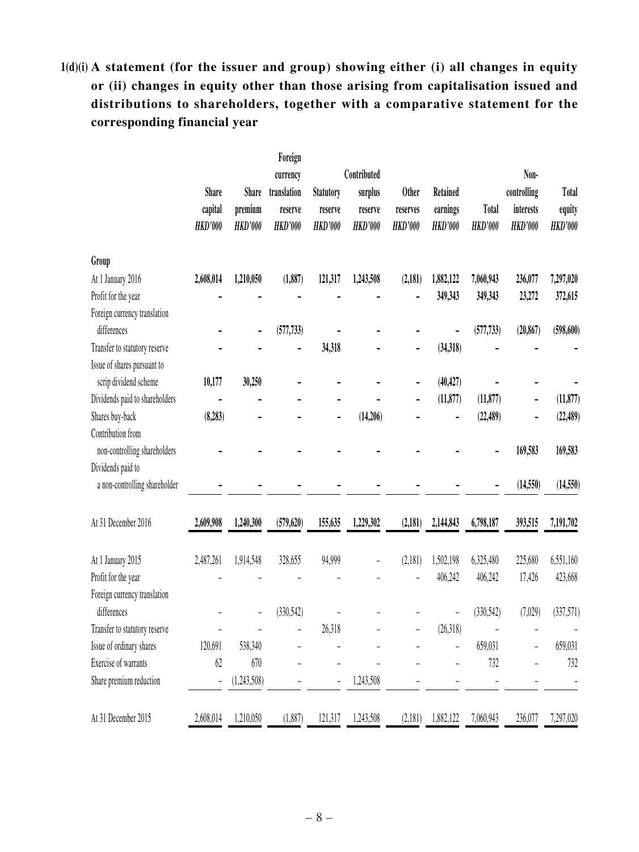# **1(d)(i) A statement (for the issuer and group) showing either (i) all changes in equity or (ii) changes in equity other than those arising from capitalisation issued and distributions to shareholders, together with a comparative statement for the corresponding financial year**

|                                | <b>Share</b><br>capital<br><b>HKD'000</b> | Share<br>premium<br><b>HKD'000</b> | Foreign<br>currency<br>translation<br>reserve<br><b>HKD'000</b> | <b>Statutory</b><br>reserve<br><b>HKD'000</b> | Contributed<br>surplus<br>reserve<br><b>HKD'000</b> | <b>Other</b><br>reserves<br><b>HKD'000</b> | Retained<br>earnings<br><b>HKD'000</b> | <b>Total</b><br><b>HKD'000</b> | Non-<br>controlling<br>interests<br><b>HKD'000</b> | <b>Total</b><br>equity<br><b>HKD'000</b> |
|--------------------------------|-------------------------------------------|------------------------------------|-----------------------------------------------------------------|-----------------------------------------------|-----------------------------------------------------|--------------------------------------------|----------------------------------------|--------------------------------|----------------------------------------------------|------------------------------------------|
| Group                          |                                           |                                    |                                                                 |                                               |                                                     |                                            |                                        |                                |                                                    |                                          |
| At 1 January 2016              | 2,608,014                                 | 1,210,050                          | (1,887)                                                         | 121,317                                       | 1,243,508                                           | (2,181)                                    | 1,882,122                              | 7,060,943                      | 236,077                                            | 7,297,020                                |
| Profit for the year            |                                           |                                    |                                                                 |                                               |                                                     |                                            | 349,343                                | 349,343                        | 23,272                                             | 372,615                                  |
| Foreign currency translation   |                                           |                                    |                                                                 |                                               |                                                     |                                            |                                        |                                |                                                    |                                          |
| differences                    |                                           |                                    | (577, 733)                                                      |                                               |                                                     |                                            |                                        | (577, 733)                     | (20, 867)                                          | (598, 600)                               |
| Transfer to statutory reserve  |                                           |                                    |                                                                 | 34,318                                        |                                                     | -                                          | (34, 318)                              |                                |                                                    |                                          |
| Issue of shares pursuant to    |                                           |                                    |                                                                 |                                               |                                                     |                                            |                                        |                                |                                                    |                                          |
| scrip dividend scheme          | 10,177                                    | 30,250                             |                                                                 |                                               |                                                     |                                            | (40, 427)                              |                                |                                                    |                                          |
| Dividends paid to shareholders |                                           |                                    |                                                                 |                                               |                                                     |                                            | (11, 877)                              | (11, 877)                      | -                                                  | (11, 877)                                |
| Shares buy-back                | (8, 283)                                  |                                    |                                                                 |                                               | (14,206)                                            |                                            |                                        | (22, 489)                      |                                                    | (22, 489)                                |
| Contribution from              |                                           |                                    |                                                                 |                                               |                                                     |                                            |                                        |                                |                                                    |                                          |
| non-controlling shareholders   |                                           |                                    |                                                                 |                                               |                                                     |                                            |                                        |                                | 169,583                                            | 169,583                                  |
| Dividends paid to              |                                           |                                    |                                                                 |                                               |                                                     |                                            |                                        |                                |                                                    |                                          |
| a non-controlling shareholder  |                                           |                                    |                                                                 |                                               |                                                     |                                            |                                        |                                | (14, 550)                                          | (14,550)                                 |
| At 31 December 2016            | 2,609,908                                 | 1,240,300                          | (579, 620)                                                      | 155,635                                       | 1,229,302                                           | (2,181)                                    | 2,144,843                              | 6,798,187                      | 393,515                                            | 7,191,702                                |
| At 1 January 2015              | 2,487,261                                 | 1,914,548                          | 328,655                                                         | 94,999                                        |                                                     | (2,181)                                    | 1,502,198                              | 6,325,480                      | 225,680                                            | 6,551,160                                |
| Profit for the year            |                                           |                                    |                                                                 |                                               |                                                     |                                            | 406,242                                | 406,242                        | 17,426                                             | 423,668                                  |
| Foreign currency translation   |                                           |                                    |                                                                 |                                               |                                                     |                                            |                                        |                                |                                                    |                                          |
| differences                    |                                           |                                    | (330, 542)                                                      |                                               |                                                     |                                            |                                        | (330, 542)                     | (7,029)                                            | (337,571)                                |
| Transfer to statutory reserve  |                                           |                                    |                                                                 | 26,318                                        |                                                     |                                            | (26,318)                               |                                |                                                    |                                          |
| Issue of ordinary shares       | 120,691                                   | 538,340                            |                                                                 |                                               |                                                     |                                            |                                        | 659,031                        |                                                    | 659,031                                  |
| Exercise of warrants           | 62                                        | 670                                |                                                                 |                                               |                                                     |                                            |                                        | 732                            |                                                    | 732                                      |
| Share premium reduction        | $\overline{\phantom{0}}$                  | (1,243,508)                        |                                                                 |                                               | 1,243,508                                           |                                            |                                        |                                |                                                    |                                          |
| At 31 December 2015            | 2,608,014                                 | 1,210,050                          | (1,887)                                                         | 121,317                                       | 1,243,508                                           | (2,181)                                    | 1,882,122                              | 7,060,943                      | 236,077                                            | 7,297,020                                |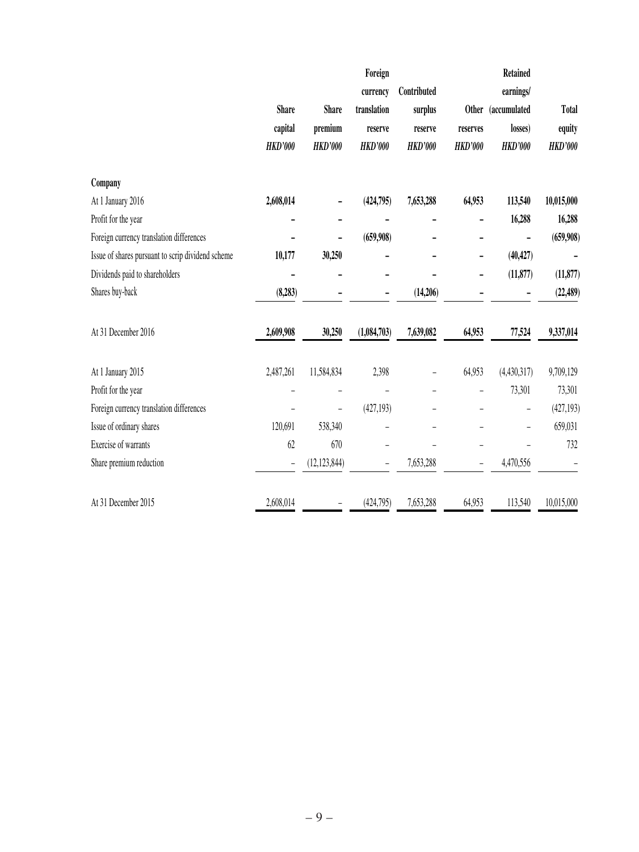|                                                   |                |                          | Foreign        |                |                   | <b>Retained</b>    |                |
|---------------------------------------------------|----------------|--------------------------|----------------|----------------|-------------------|--------------------|----------------|
|                                                   |                |                          | currency       | Contributed    |                   | earnings/          |                |
|                                                   | <b>Share</b>   | <b>Share</b>             | translation    | surplus        |                   | Other (accumulated | <b>Total</b>   |
|                                                   | capital        | premium                  | reserve        | reserve        | reserves          | losses)            | equity         |
|                                                   | <b>HKD'000</b> | <b>HKD'000</b>           | <b>HKD'000</b> | <b>HKD'000</b> | <b>HKD'000</b>    | <b>HKD'000</b>     | <b>HKD'000</b> |
| Company                                           |                |                          |                |                |                   |                    |                |
| At 1 January 2016                                 | 2,608,014      |                          | (424,795)      | 7,653,288      | 64,953            | 113,540            | 10,015,000     |
| Profit for the year                               |                |                          |                |                |                   | 16,288             | 16,288         |
| Foreign currency translation differences          |                |                          | (659,908)      |                |                   |                    | (659,908)      |
| Issue of shares pursuant to scrip dividend scheme | 10,177         | 30,250                   |                |                |                   | (40, 427)          |                |
| Dividends paid to shareholders                    |                |                          |                |                |                   | (11, 877)          | (11, 877)      |
| Shares buy-back                                   | (8, 283)       |                          |                | (14,206)       |                   |                    | (22, 489)      |
| At 31 December 2016                               | 2,609,908      | 30,250                   | (1,084,703)    | 7,639,082      | 64,953            | 77,524             | 9,337,014      |
| At 1 January 2015                                 | 2,487,261      | 11,584,834               | 2,398          |                | 64,953            | (4,430,317)        | 9,709,129      |
| Profit for the year                               |                |                          |                |                |                   | 73,301             | 73,301         |
| Foreign currency translation differences          |                | $\overline{\phantom{0}}$ | (427, 193)     |                |                   |                    | (427, 193)     |
| Issue of ordinary shares                          | 120,691        | 538,340                  | -              |                |                   |                    | 659,031        |
| Exercise of warrants                              | 62             | 670                      |                |                |                   |                    | 732            |
| Share premium reduction                           | $\overline{a}$ | (12, 123, 844)           | -              | 7,653,288      | $\qquad \qquad -$ | 4,470,556          |                |
| At 31 December 2015                               | 2,608,014      |                          | (424, 795)     | 7,653,288      | 64,953            | 113,540            | 10,015,000     |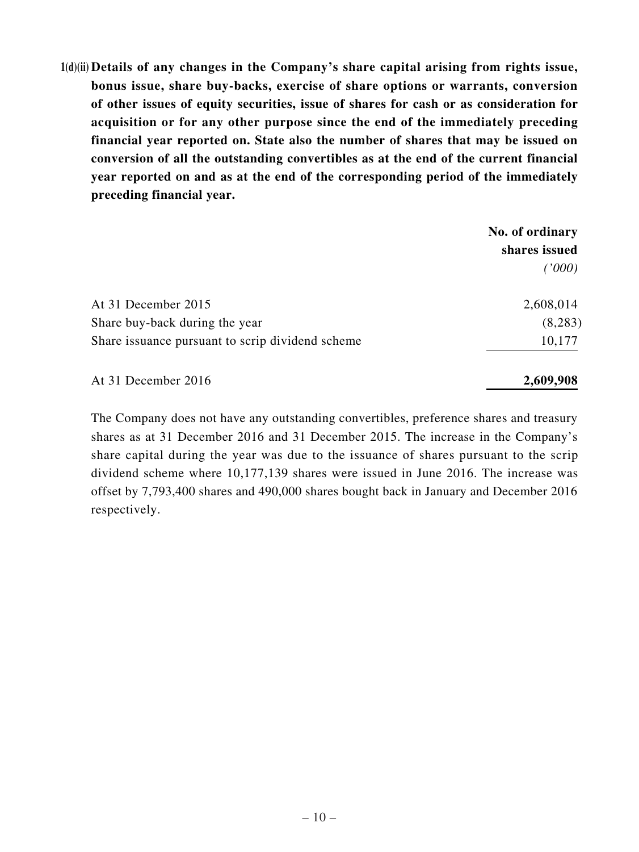**1(d)(ii) Details of any changes in the Company's share capital arising from rights issue, bonus issue, share buy-backs, exercise of share options or warrants, conversion of other issues of equity securities, issue of shares for cash or as consideration for acquisition or for any other purpose since the end of the immediately preceding financial year reported on. State also the number of shares that may be issued on conversion of all the outstanding convertibles as at the end of the current financial year reported on and as at the end of the corresponding period of the immediately preceding financial year.**

| No. of ordinary |
|-----------------|
| shares issued   |
| (1000)          |
| 2,608,014       |
| (8,283)         |
| 10,177          |
|                 |

At 31 December 2016 **2,609,908**

The Company does not have any outstanding convertibles, preference shares and treasury shares as at 31 December 2016 and 31 December 2015. The increase in the Company's share capital during the year was due to the issuance of shares pursuant to the scrip dividend scheme where 10,177,139 shares were issued in June 2016. The increase was offset by 7,793,400 shares and 490,000 shares bought back in January and December 2016 respectively.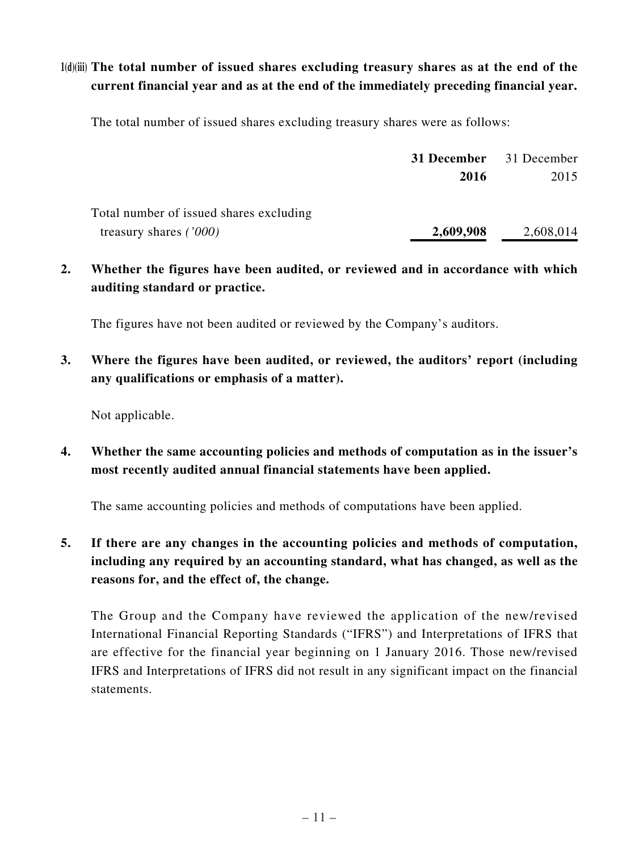# **1(d)(iii) The total number of issued shares excluding treasury shares as at the end of the current financial year and as at the end of the immediately preceding financial year.**

The total number of issued shares excluding treasury shares were as follows:

|                                         | <b>31 December</b> 31 December |           |
|-----------------------------------------|--------------------------------|-----------|
|                                         | 2016                           | 2015      |
| Total number of issued shares excluding |                                |           |
| treasury shares $(7000)$                | 2,609,908                      | 2,608,014 |

**2. Whether the figures have been audited, or reviewed and in accordance with which auditing standard or practice.**

The figures have not been audited or reviewed by the Company's auditors.

**3. Where the figures have been audited, or reviewed, the auditors' report (including any qualifications or emphasis of a matter).**

Not applicable.

**4. Whether the same accounting policies and methods of computation as in the issuer's most recently audited annual financial statements have been applied.**

The same accounting policies and methods of computations have been applied.

**5. If there are any changes in the accounting policies and methods of computation, including any required by an accounting standard, what has changed, as well as the reasons for, and the effect of, the change.**

The Group and the Company have reviewed the application of the new/revised International Financial Reporting Standards ("IFRS") and Interpretations of IFRS that are effective for the financial year beginning on 1 January 2016. Those new/revised IFRS and Interpretations of IFRS did not result in any significant impact on the financial statements.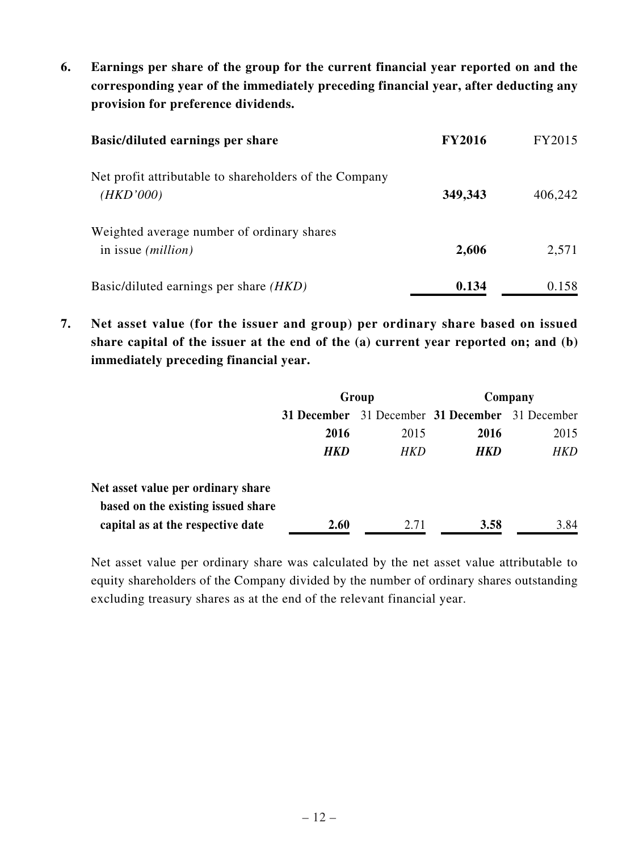**6. Earnings per share of the group for the current financial year reported on and the corresponding year of the immediately preceding financial year, after deducting any provision for preference dividends.**

| <b>Basic/diluted earnings per share</b>                                   | <b>FY2016</b> | FY2015  |
|---------------------------------------------------------------------------|---------------|---------|
| Net profit attributable to shareholders of the Company<br>(HKD'000)       | 349,343       | 406,242 |
| Weighted average number of ordinary shares<br>in issue ( <i>million</i> ) | 2,606         | 2,571   |
| Basic/diluted earnings per share <i>(HKD)</i>                             | 0.134         | 0.158   |

**7. Net asset value (for the issuer and group) per ordinary share based on issued share capital of the issuer at the end of the (a) current year reported on; and (b) immediately preceding financial year.**

|                                    | Group       |      | Company                             |            |
|------------------------------------|-------------|------|-------------------------------------|------------|
|                                    | 31 December |      | 31 December 31 December 31 December |            |
|                                    | 2016        | 2015 | 2016                                | 2015       |
|                                    | <b>HKD</b>  | HKD  | <b>HKD</b>                          | <b>HKD</b> |
|                                    |             |      |                                     |            |
| Net asset value per ordinary share |             |      |                                     |            |
| based on the existing issued share |             |      |                                     |            |
| capital as at the respective date  | 2.60        | 2.71 | 3.58                                | 3.84       |

Net asset value per ordinary share was calculated by the net asset value attributable to equity shareholders of the Company divided by the number of ordinary shares outstanding excluding treasury shares as at the end of the relevant financial year.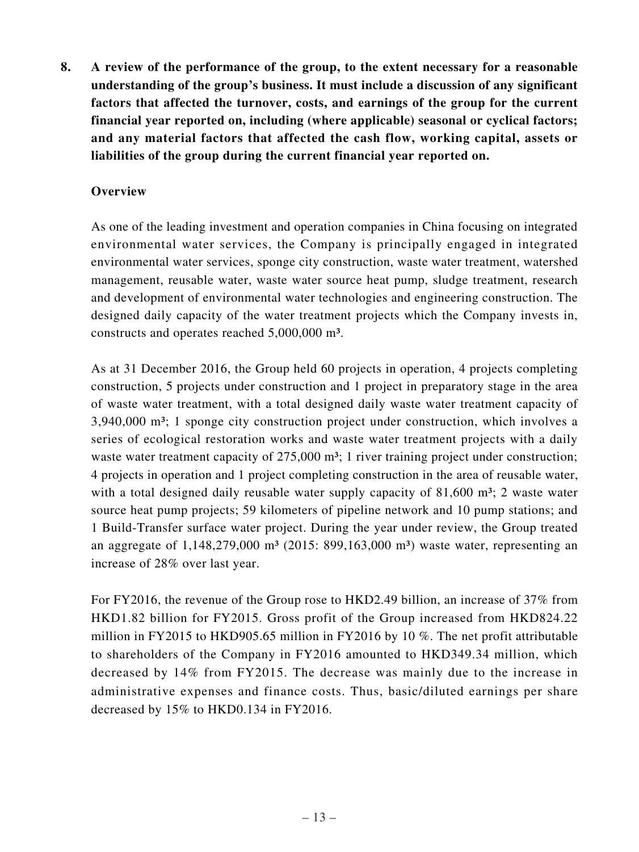**8. A review of the performance of the group, to the extent necessary for a reasonable understanding of the group's business. It must include a discussion of any significant factors that affected the turnover, costs, and earnings of the group for the current financial year reported on, including (where applicable) seasonal or cyclical factors; and any material factors that affected the cash flow, working capital, assets or liabilities of the group during the current financial year reported on.**

## **Overview**

As one of the leading investment and operation companies in China focusing on integrated environmental water services, the Company is principally engaged in integrated environmental water services, sponge city construction, waste water treatment, watershed management, reusable water, waste water source heat pump, sludge treatment, research and development of environmental water technologies and engineering construction. The designed daily capacity of the water treatment projects which the Company invests in, constructs and operates reached 5,000,000 m³.

As at 31 December 2016, the Group held 60 projects in operation, 4 projects completing construction, 5 projects under construction and 1 project in preparatory stage in the area of waste water treatment, with a total designed daily waste water treatment capacity of 3,940,000 m<sup>3</sup>; 1 sponge city construction project under construction, which involves a series of ecological restoration works and waste water treatment projects with a daily waste water treatment capacity of 275,000 m<sup>3</sup>; 1 river training project under construction; 4 projects in operation and 1 project completing construction in the area of reusable water, with a total designed daily reusable water supply capacity of  $81,600$  m<sup>3</sup>; 2 waste water source heat pump projects; 59 kilometers of pipeline network and 10 pump stations; and 1 Build-Transfer surface water project. During the year under review, the Group treated an aggregate of  $1,148,279,000 \text{ m}^3$  (2015: 899,163,000 m<sup>3</sup>) waste water, representing an increase of 28% over last year.

For FY2016, the revenue of the Group rose to HKD2.49 billion, an increase of 37% from HKD1.82 billion for FY2015. Gross profit of the Group increased from HKD824.22 million in FY2015 to HKD905.65 million in FY2016 by 10 %. The net profit attributable to shareholders of the Company in FY2016 amounted to HKD349.34 million, which decreased by 14% from FY2015. The decrease was mainly due to the increase in administrative expenses and finance costs. Thus, basic/diluted earnings per share decreased by 15% to HKD0.134 in FY2016.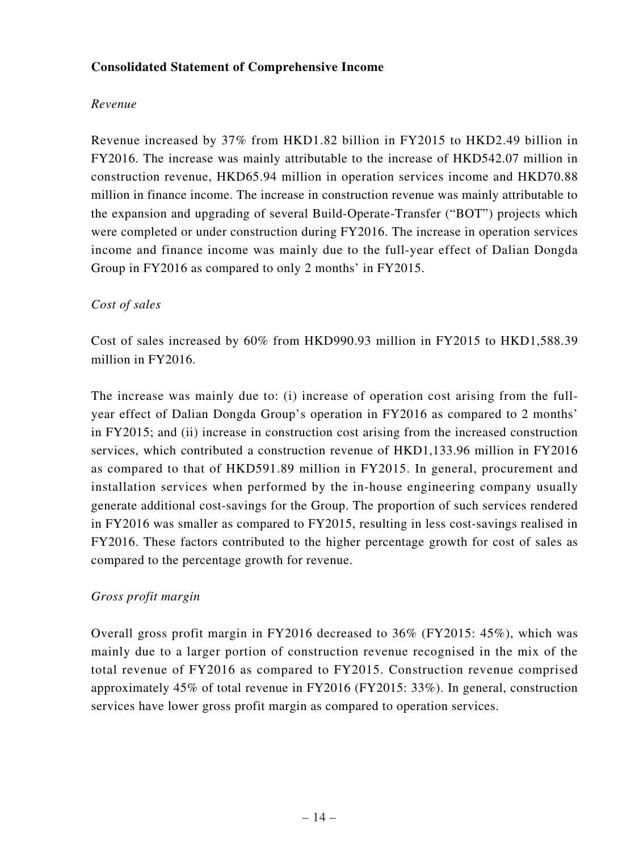## **Consolidated Statement of Comprehensive Income**

### *Revenue*

Revenue increased by 37% from HKD1.82 billion in FY2015 to HKD2.49 billion in FY2016. The increase was mainly attributable to the increase of HKD542.07 million in construction revenue, HKD65.94 million in operation services income and HKD70.88 million in finance income. The increase in construction revenue was mainly attributable to the expansion and upgrading of several Build-Operate-Transfer ("BOT") projects which were completed or under construction during FY2016. The increase in operation services income and finance income was mainly due to the full-year effect of Dalian Dongda Group in FY2016 as compared to only 2 months' in FY2015.

## *Cost of sales*

Cost of sales increased by 60% from HKD990.93 million in FY2015 to HKD1,588.39 million in FY2016.

The increase was mainly due to: (i) increase of operation cost arising from the fullyear effect of Dalian Dongda Group's operation in FY2016 as compared to 2 months' in FY2015; and (ii) increase in construction cost arising from the increased construction services, which contributed a construction revenue of HKD1,133.96 million in FY2016 as compared to that of HKD591.89 million in FY2015. In general, procurement and installation services when performed by the in-house engineering company usually generate additional cost-savings for the Group. The proportion of such services rendered in FY2016 was smaller as compared to FY2015, resulting in less cost-savings realised in FY2016. These factors contributed to the higher percentage growth for cost of sales as compared to the percentage growth for revenue.

# *Gross profit margin*

Overall gross profit margin in FY2016 decreased to 36% (FY2015: 45%), which was mainly due to a larger portion of construction revenue recognised in the mix of the total revenue of FY2016 as compared to FY2015. Construction revenue comprised approximately 45% of total revenue in FY2016 (FY2015: 33%). In general, construction services have lower gross profit margin as compared to operation services.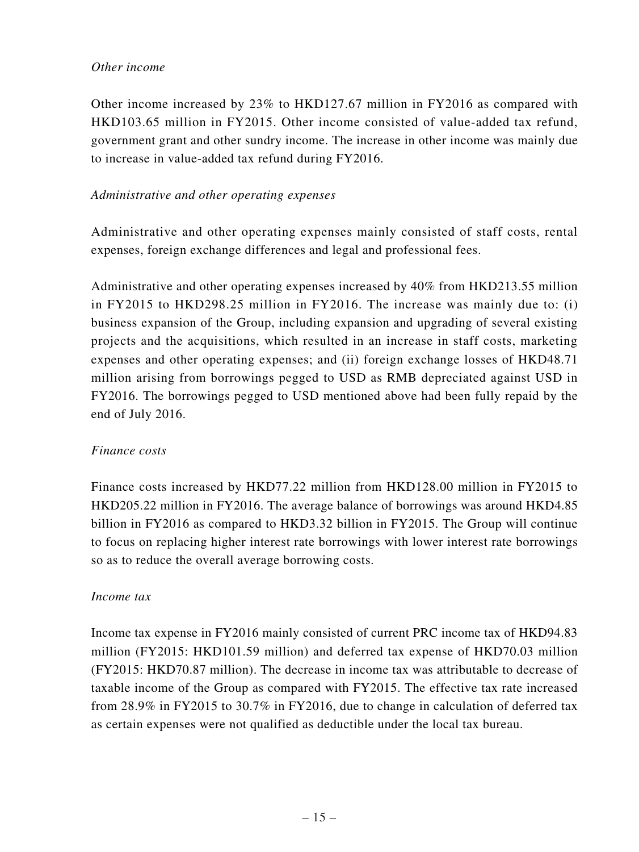#### *Other income*

Other income increased by 23% to HKD127.67 million in FY2016 as compared with HKD103.65 million in FY2015. Other income consisted of value-added tax refund, government grant and other sundry income. The increase in other income was mainly due to increase in value-added tax refund during FY2016.

### *Administrative and other operating expenses*

Administrative and other operating expenses mainly consisted of staff costs, rental expenses, foreign exchange differences and legal and professional fees.

Administrative and other operating expenses increased by 40% from HKD213.55 million in FY2015 to HKD298.25 million in FY2016. The increase was mainly due to: (i) business expansion of the Group, including expansion and upgrading of several existing projects and the acquisitions, which resulted in an increase in staff costs, marketing expenses and other operating expenses; and (ii) foreign exchange losses of HKD48.71 million arising from borrowings pegged to USD as RMB depreciated against USD in FY2016. The borrowings pegged to USD mentioned above had been fully repaid by the end of July 2016.

### *Finance costs*

Finance costs increased by HKD77.22 million from HKD128.00 million in FY2015 to HKD205.22 million in FY2016. The average balance of borrowings was around HKD4.85 billion in FY2016 as compared to HKD3.32 billion in FY2015. The Group will continue to focus on replacing higher interest rate borrowings with lower interest rate borrowings so as to reduce the overall average borrowing costs.

### *Income tax*

Income tax expense in FY2016 mainly consisted of current PRC income tax of HKD94.83 million (FY2015: HKD101.59 million) and deferred tax expense of HKD70.03 million (FY2015: HKD70.87 million). The decrease in income tax was attributable to decrease of taxable income of the Group as compared with FY2015. The effective tax rate increased from 28.9% in FY2015 to 30.7% in FY2016, due to change in calculation of deferred tax as certain expenses were not qualified as deductible under the local tax bureau.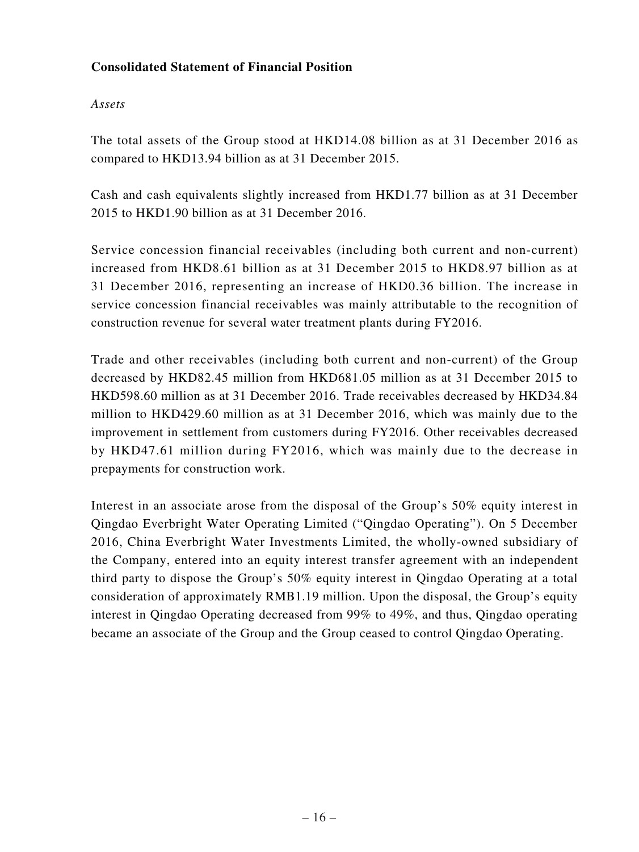## **Consolidated Statement of Financial Position**

### *Assets*

The total assets of the Group stood at HKD14.08 billion as at 31 December 2016 as compared to HKD13.94 billion as at 31 December 2015.

Cash and cash equivalents slightly increased from HKD1.77 billion as at 31 December 2015 to HKD1.90 billion as at 31 December 2016.

Service concession financial receivables (including both current and non-current) increased from HKD8.61 billion as at 31 December 2015 to HKD8.97 billion as at 31 December 2016, representing an increase of HKD0.36 billion. The increase in service concession financial receivables was mainly attributable to the recognition of construction revenue for several water treatment plants during FY2016.

Trade and other receivables (including both current and non-current) of the Group decreased by HKD82.45 million from HKD681.05 million as at 31 December 2015 to HKD598.60 million as at 31 December 2016. Trade receivables decreased by HKD34.84 million to HKD429.60 million as at 31 December 2016, which was mainly due to the improvement in settlement from customers during FY2016. Other receivables decreased by HKD47.61 million during FY2016, which was mainly due to the decrease in prepayments for construction work.

Interest in an associate arose from the disposal of the Group's 50% equity interest in Qingdao Everbright Water Operating Limited ("Qingdao Operating"). On 5 December 2016, China Everbright Water Investments Limited, the wholly-owned subsidiary of the Company, entered into an equity interest transfer agreement with an independent third party to dispose the Group's 50% equity interest in Qingdao Operating at a total consideration of approximately RMB1.19 million. Upon the disposal, the Group's equity interest in Qingdao Operating decreased from 99% to 49%, and thus, Qingdao operating became an associate of the Group and the Group ceased to control Qingdao Operating.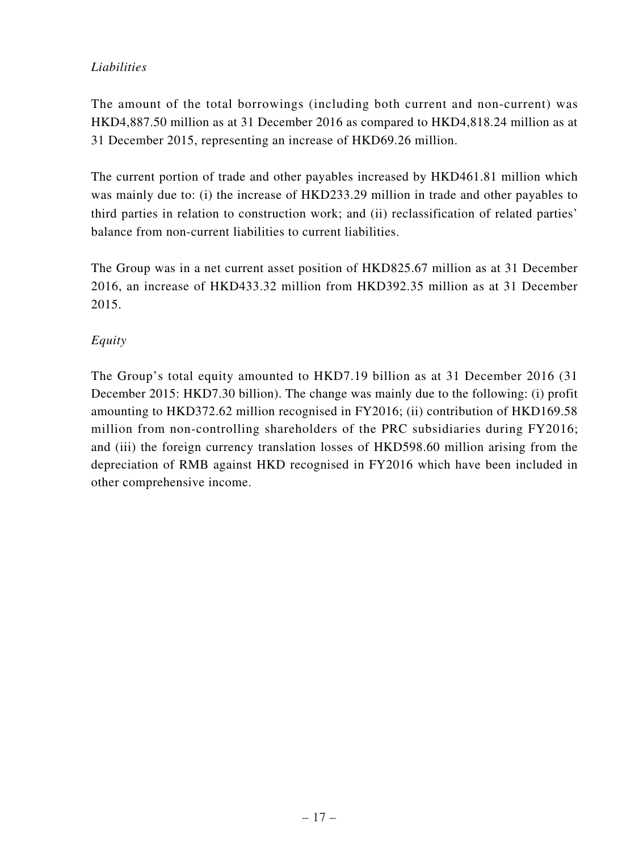# *Liabilities*

The amount of the total borrowings (including both current and non-current) was HKD4,887.50 million as at 31 December 2016 as compared to HKD4,818.24 million as at 31 December 2015, representing an increase of HKD69.26 million.

The current portion of trade and other payables increased by HKD461.81 million which was mainly due to: (i) the increase of HKD233.29 million in trade and other payables to third parties in relation to construction work; and (ii) reclassification of related parties' balance from non-current liabilities to current liabilities.

The Group was in a net current asset position of HKD825.67 million as at 31 December 2016, an increase of HKD433.32 million from HKD392.35 million as at 31 December 2015.

# *Equity*

The Group's total equity amounted to HKD7.19 billion as at 31 December 2016 (31 December 2015: HKD7.30 billion). The change was mainly due to the following: (i) profit amounting to HKD372.62 million recognised in FY2016; (ii) contribution of HKD169.58 million from non-controlling shareholders of the PRC subsidiaries during FY2016; and (iii) the foreign currency translation losses of HKD598.60 million arising from the depreciation of RMB against HKD recognised in FY2016 which have been included in other comprehensive income.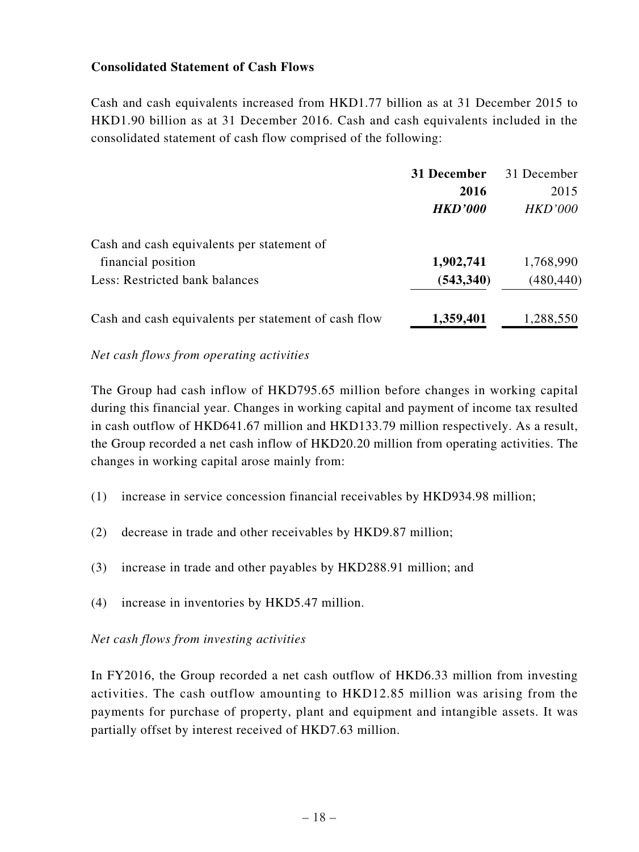## **Consolidated Statement of Cash Flows**

Cash and cash equivalents increased from HKD1.77 billion as at 31 December 2015 to HKD1.90 billion as at 31 December 2016. Cash and cash equivalents included in the consolidated statement of cash flow comprised of the following:

|                                                      | 31 December    | 31 December    |
|------------------------------------------------------|----------------|----------------|
|                                                      | 2016           | 2015           |
|                                                      | <b>HKD'000</b> | <b>HKD'000</b> |
| Cash and cash equivalents per statement of           |                |                |
| financial position                                   | 1,902,741      | 1,768,990      |
| Less: Restricted bank balances                       | (543, 340)     | (480, 440)     |
| Cash and cash equivalents per statement of cash flow | 1,359,401      | 1,288,550      |

#### *Net cash flows from operating activities*

The Group had cash inflow of HKD795.65 million before changes in working capital during this financial year. Changes in working capital and payment of income tax resulted in cash outflow of HKD641.67 million and HKD133.79 million respectively. As a result, the Group recorded a net cash inflow of HKD20.20 million from operating activities. The changes in working capital arose mainly from:

- (1) increase in service concession financial receivables by HKD934.98 million;
- (2) decrease in trade and other receivables by HKD9.87 million;
- (3) increase in trade and other payables by HKD288.91 million; and
- (4) increase in inventories by HKD5.47 million.

#### *Net cash flows from investing activities*

In FY2016, the Group recorded a net cash outflow of HKD6.33 million from investing activities. The cash outflow amounting to HKD12.85 million was arising from the payments for purchase of property, plant and equipment and intangible assets. It was partially offset by interest received of HKD7.63 million.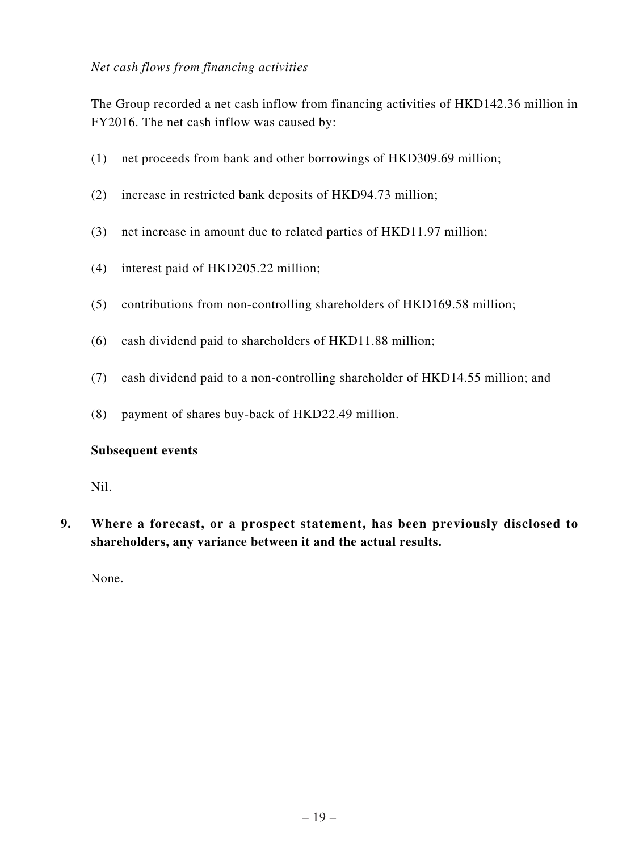### *Net cash flows from financing activities*

The Group recorded a net cash inflow from financing activities of HKD142.36 million in FY2016. The net cash inflow was caused by:

- (1) net proceeds from bank and other borrowings of HKD309.69 million;
- (2) increase in restricted bank deposits of HKD94.73 million;
- (3) net increase in amount due to related parties of HKD11.97 million;
- (4) interest paid of HKD205.22 million;
- (5) contributions from non-controlling shareholders of HKD169.58 million;
- (6) cash dividend paid to shareholders of HKD11.88 million;
- (7) cash dividend paid to a non-controlling shareholder of HKD14.55 million; and
- (8) payment of shares buy-back of HKD22.49 million.

#### **Subsequent events**

Nil.

**9. Where a forecast, or a prospect statement, has been previously disclosed to shareholders, any variance between it and the actual results.**

None.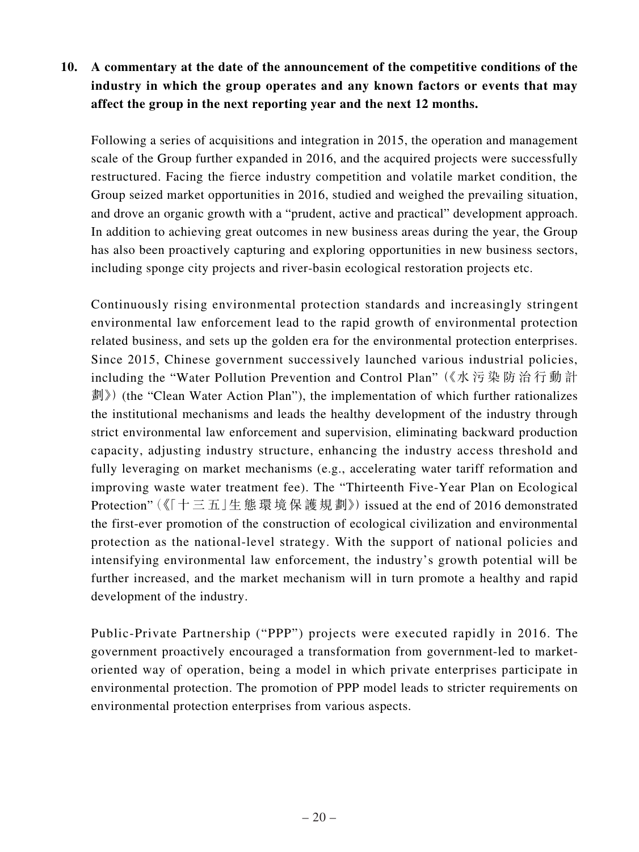# **10. A commentary at the date of the announcement of the competitive conditions of the industry in which the group operates and any known factors or events that may affect the group in the next reporting year and the next 12 months.**

Following a series of acquisitions and integration in 2015, the operation and management scale of the Group further expanded in 2016, and the acquired projects were successfully restructured. Facing the fierce industry competition and volatile market condition, the Group seized market opportunities in 2016, studied and weighed the prevailing situation, and drove an organic growth with a "prudent, active and practical" development approach. In addition to achieving great outcomes in new business areas during the year, the Group has also been proactively capturing and exploring opportunities in new business sectors, including sponge city projects and river-basin ecological restoration projects etc.

Continuously rising environmental protection standards and increasingly stringent environmental law enforcement lead to the rapid growth of environmental protection related business, and sets up the golden era for the environmental protection enterprises. Since 2015, Chinese government successively launched various industrial policies, including the "Water Pollution Prevention and Control Plan" (《水 污 染 防 治 行 動 計 劃》) (the "Clean Water Action Plan"), the implementation of which further rationalizes the institutional mechanisms and leads the healthy development of the industry through strict environmental law enforcement and supervision, eliminating backward production capacity, adjusting industry structure, enhancing the industry access threshold and fully leveraging on market mechanisms (e.g., accelerating water tariff reformation and improving waste water treatment fee). The "Thirteenth Five-Year Plan on Ecological Protection" (《「十 三 五」生 態 環 境 保 護 規 劃》) issued at the end of 2016 demonstrated the first-ever promotion of the construction of ecological civilization and environmental protection as the national-level strategy. With the support of national policies and intensifying environmental law enforcement, the industry's growth potential will be further increased, and the market mechanism will in turn promote a healthy and rapid development of the industry.

Public-Private Partnership ("PPP") projects were executed rapidly in 2016. The government proactively encouraged a transformation from government-led to marketoriented way of operation, being a model in which private enterprises participate in environmental protection. The promotion of PPP model leads to stricter requirements on environmental protection enterprises from various aspects.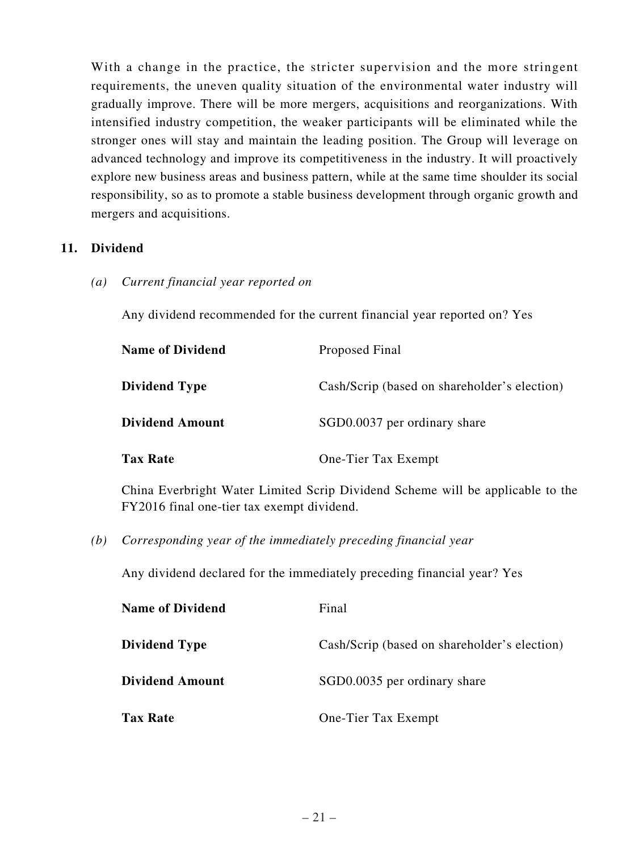With a change in the practice, the stricter supervision and the more stringent requirements, the uneven quality situation of the environmental water industry will gradually improve. There will be more mergers, acquisitions and reorganizations. With intensified industry competition, the weaker participants will be eliminated while the stronger ones will stay and maintain the leading position. The Group will leverage on advanced technology and improve its competitiveness in the industry. It will proactively explore new business areas and business pattern, while at the same time shoulder its social responsibility, so as to promote a stable business development through organic growth and mergers and acquisitions.

## **11. Dividend**

*(a) Current financial year reported on*

Any dividend recommended for the current financial year reported on? Yes

| <b>Name of Dividend</b> | Proposed Final                               |
|-------------------------|----------------------------------------------|
| <b>Dividend Type</b>    | Cash/Scrip (based on shareholder's election) |
| <b>Dividend Amount</b>  | SGD0.0037 per ordinary share                 |
| <b>Tax Rate</b>         | One-Tier Tax Exempt                          |

China Everbright Water Limited Scrip Dividend Scheme will be applicable to the FY2016 final one-tier tax exempt dividend.

*(b) Corresponding year of the immediately preceding financial year*

Any dividend declared for the immediately preceding financial year? Yes

| <b>Name of Dividend</b> | Final                                        |
|-------------------------|----------------------------------------------|
| <b>Dividend Type</b>    | Cash/Scrip (based on shareholder's election) |
| <b>Dividend Amount</b>  | SGD0.0035 per ordinary share                 |
| <b>Tax Rate</b>         | One-Tier Tax Exempt                          |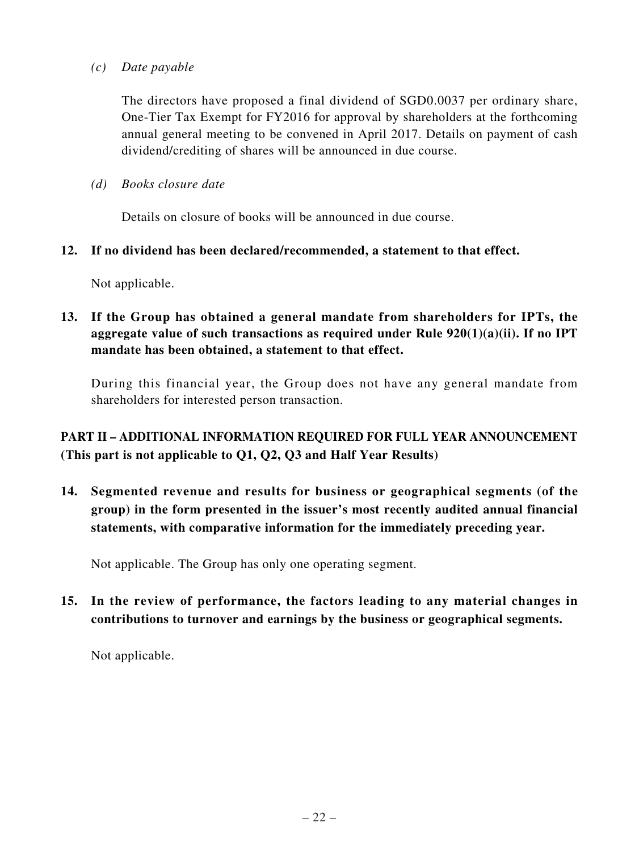*(c) Date payable*

The directors have proposed a final dividend of SGD0.0037 per ordinary share, One-Tier Tax Exempt for FY2016 for approval by shareholders at the forthcoming annual general meeting to be convened in April 2017. Details on payment of cash dividend/crediting of shares will be announced in due course.

*(d) Books closure date*

Details on closure of books will be announced in due course.

### **12. If no dividend has been declared/recommended, a statement to that effect.**

Not applicable.

**13. If the Group has obtained a general mandate from shareholders for IPTs, the aggregate value of such transactions as required under Rule 920(1)(a)(ii). If no IPT mandate has been obtained, a statement to that effect.**

During this financial year, the Group does not have any general mandate from shareholders for interested person transaction.

# **PART II – ADDITIONAL INFORMATION REQUIRED FOR FULL YEAR ANNOUNCEMENT (This part is not applicable to Q1, Q2, Q3 and Half Year Results)**

**14. Segmented revenue and results for business or geographical segments (of the group) in the form presented in the issuer's most recently audited annual financial statements, with comparative information for the immediately preceding year.**

Not applicable. The Group has only one operating segment.

**15. In the review of performance, the factors leading to any material changes in contributions to turnover and earnings by the business or geographical segments.**

Not applicable.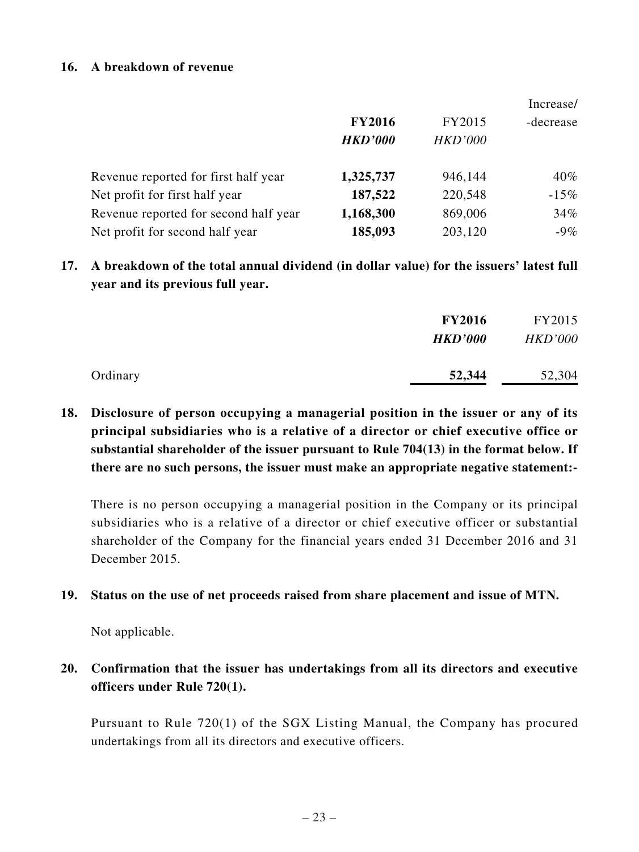#### **16. A breakdown of revenue**

|                                       |                |                | Increase/ |
|---------------------------------------|----------------|----------------|-----------|
|                                       | <b>FY2016</b>  | FY2015         | -decrease |
|                                       | <b>HKD'000</b> | <b>HKD'000</b> |           |
| Revenue reported for first half year  | 1,325,737      | 946,144        | $40\%$    |
| Net profit for first half year        | 187,522        | 220,548        | $-15%$    |
| Revenue reported for second half year | 1,168,300      | 869,006        | 34%       |
| Net profit for second half year       | 185,093        | 203,120        | $-9\%$    |

**17. A breakdown of the total annual dividend (in dollar value) for the issuers' latest full year and its previous full year.**

|          | <b>FY2016</b>  | FY2015         |
|----------|----------------|----------------|
|          | <b>HKD'000</b> | <b>HKD'000</b> |
| Ordinary | 52,344         | 52,304         |

**18. Disclosure of person occupying a managerial position in the issuer or any of its principal subsidiaries who is a relative of a director or chief executive office or substantial shareholder of the issuer pursuant to Rule 704(13) in the format below. If there are no such persons, the issuer must make an appropriate negative statement:-**

There is no person occupying a managerial position in the Company or its principal subsidiaries who is a relative of a director or chief executive officer or substantial shareholder of the Company for the financial years ended 31 December 2016 and 31 December 2015.

#### **19. Status on the use of net proceeds raised from share placement and issue of MTN.**

Not applicable.

# **20. Confirmation that the issuer has undertakings from all its directors and executive officers under Rule 720(1).**

Pursuant to Rule 720(1) of the SGX Listing Manual, the Company has procured undertakings from all its directors and executive officers.